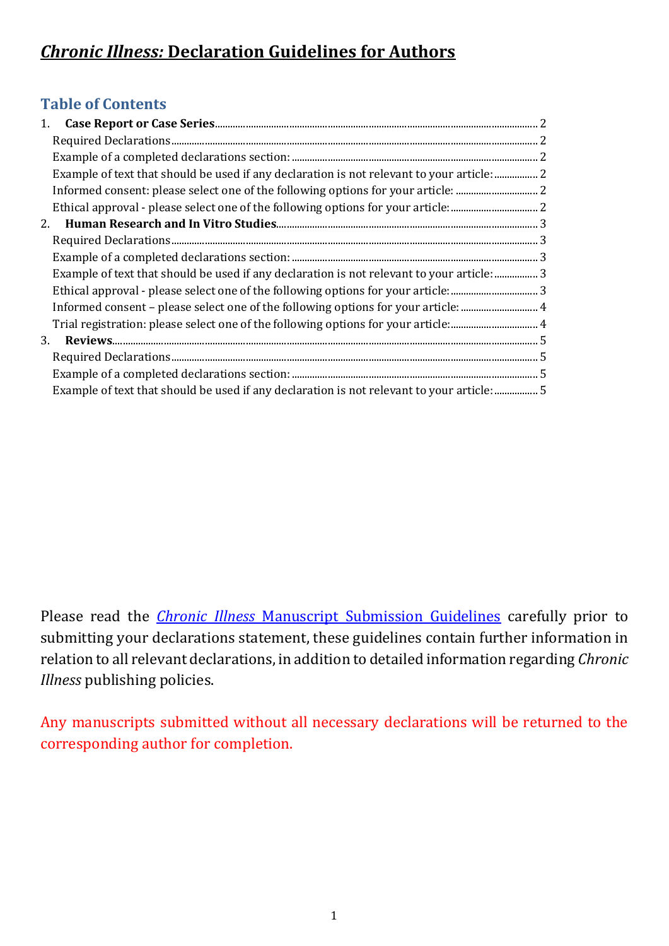# **Table of Contents**

| 1. |                                                                                           |  |
|----|-------------------------------------------------------------------------------------------|--|
|    |                                                                                           |  |
|    |                                                                                           |  |
|    | Example of text that should be used if any declaration is not relevant to your article: 2 |  |
|    |                                                                                           |  |
|    |                                                                                           |  |
| 2. |                                                                                           |  |
|    |                                                                                           |  |
|    |                                                                                           |  |
|    | Example of text that should be used if any declaration is not relevant to your article: 3 |  |
|    |                                                                                           |  |
|    | Informed consent - please select one of the following options for your article:  4        |  |
|    |                                                                                           |  |
| 3. |                                                                                           |  |
|    |                                                                                           |  |
|    |                                                                                           |  |
|    | Example of text that should be used if any declaration is not relevant to your article: 5 |  |

Please read the *Chronic Illness* [Manuscript Submission Guidelines](https://uk.sagepub.com/en-gb/eur/journal/chronic-illness#submission-guidelines) carefully prior to submitting your declarations statement, these guidelines contain further information in relation to all relevant declarations, in addition to detailed information regarding *Chronic Illness* publishing policies.

Any manuscripts submitted without all necessary declarations will be returned to the corresponding author for completion.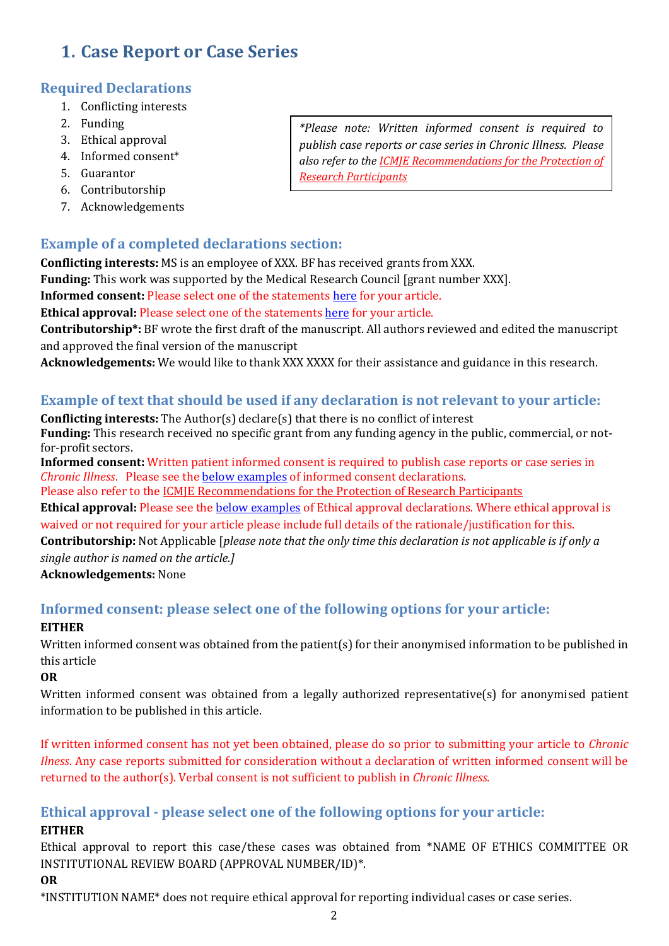# <span id="page-1-0"></span>**1. Case Report or Case Series**

## <span id="page-1-1"></span>**Required Declarations**

- 1. Conflicting interests
- 2. Funding
- 3. Ethical approval
- 4. Informed consent\*
- 5. Guarantor
- 6. Contributorship
- 7. Acknowledgements

## <span id="page-1-2"></span>**Example of a completed declarations section:**

**Conflicting interests:** MS is an employee of XXX. BF has received grants from XXX.

**Funding:** This work was supported by the Medical Research Council [grant number XXX].

**Informed consent:** Please select one of the statement[s here](#page-1-4) for your article.

**Ethical approval:** Please select one of the statement[s here](#page-1-5) for your article.

**Contributorship\*:** BF wrote the first draft of the manuscript. All authors reviewed and edited the manuscript and approved the final version of the manuscript

<span id="page-1-3"></span>**Acknowledgements:** We would like to thank XXX XXXX for their assistance and guidance in this research.

## **Example of text that should be used if any declaration is not relevant to your article:**

**Conflicting interests:** The Author(s) declare(s) that there is no conflict of interest **Funding:** This research received no specific grant from any funding agency in the public, commercial, or notfor-profit sectors.

**Informed consent:** Written patient informed consent is required to publish case reports or case series in *Chronic Illness*. Please see the [below examples](#page-1-4) of informed consent declarations.

Please also refer to the [ICMJE Recommendations for the Protection of Research Participants](http://www.icmje.org/recommendations/browse/roles-and-responsibilities/protection-of-research-participants.html)

**Ethical approval:** Please see the [below examples](#page-1-5) of Ethical approval declarations. Where ethical approval is waived or not required for your article please include full details of the rationale/justification for this.

**Contributorship:** Not Applicable [*please note that the only time this declaration is not applicable is if only a single author is named on the article.]*

**Acknowledgements:** None

# <span id="page-1-4"></span>**Informed consent: please select one of the following options for your article:**

#### **EITHER**

Written informed consent was obtained from the patient(s) for their anonymised information to be published in this article

**OR**

Written informed consent was obtained from a legally authorized representative(s) for anonymised patient information to be published in this article.

If written informed consent has not yet been obtained, please do so prior to submitting your article to *Chronic Ilness*. Any case reports submitted for consideration without a declaration of written informed consent will be returned to the author(s). Verbal consent is not sufficient to publish in *Chronic Illness.*

## <span id="page-1-5"></span>**Ethical approval - please select one of the following options for your article:**

#### **EITHER**

Ethical approval to report this case/these cases was obtained from \*NAME OF ETHICS COMMITTEE OR INSTITUTIONAL REVIEW BOARD (APPROVAL NUMBER/ID)\*.

#### **OR**

\*INSTITUTION NAME\* does not require ethical approval for reporting individual cases or case series.

*\*Please note: Written informed consent is required to publish case reports or case series in Chronic Illness. Please also refer to the [ICMJE Recommendations for the Protection of](http://www.icmje.org/recommendations/browse/roles-and-responsibilities/protection-of-research-participants.html)  [Research Participants](http://www.icmje.org/recommendations/browse/roles-and-responsibilities/protection-of-research-participants.html)*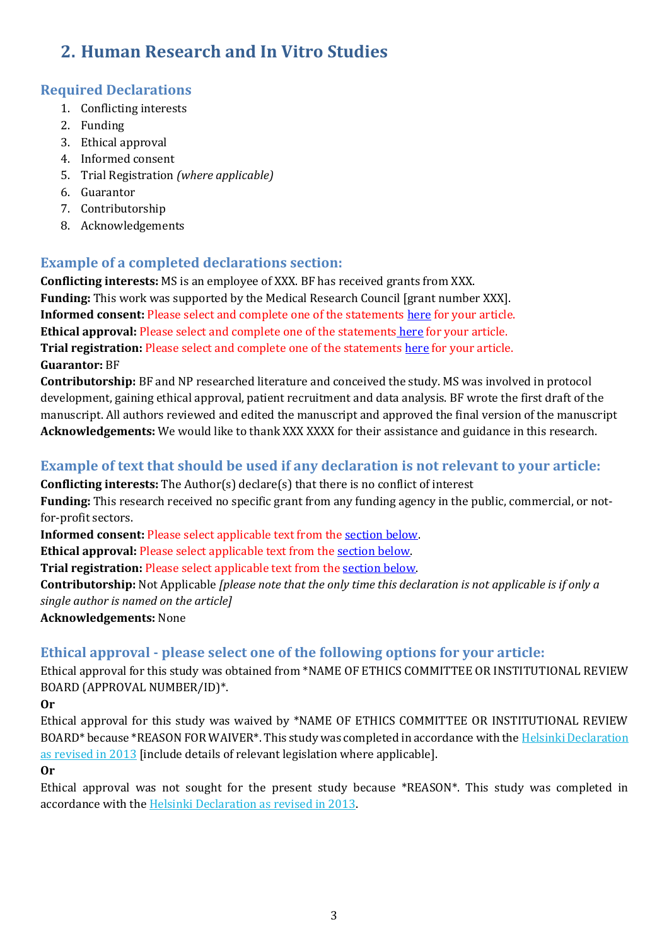# <span id="page-2-0"></span>**2. Human Research and In Vitro Studies**

## <span id="page-2-1"></span>**Required Declarations**

- 1. Conflicting interests
- 2. Funding
- 3. Ethical approval
- 4. Informed consent
- 5. Trial Registration *(where applicable)*
- 6. Guarantor
- 7. Contributorship
- 8. Acknowledgements

## <span id="page-2-2"></span>**Example of a completed declarations section:**

**Conflicting interests:** MS is an employee of XXX. BF has received grants from XXX. **Funding:** This work was supported by the Medical Research Council [grant number XXX]. **Informed consent:** Please select and complete one of the statement[s here](#page-3-0) for your article. **Ethical approval:** Please select and complete one of the statements [here](#page-2-4) for your article. **Trial registration:** Please select and complete one of the statement[s here](#page-3-1) for your article. **Guarantor:** BF

**Contributorship:** BF and NP researched literature and conceived the study. MS was involved in protocol development, gaining ethical approval, patient recruitment and data analysis. BF wrote the first draft of the manuscript. All authors reviewed and edited the manuscript and approved the final version of the manuscript **Acknowledgements:** We would like to thank XXX XXXX for their assistance and guidance in this research.

#### <span id="page-2-3"></span>**Example of text that should be used if any declaration is not relevant to your article:**

**Conflicting interests:** The Author(s) declare(s) that there is no conflict of interest

**Funding:** This research received no specific grant from any funding agency in the public, commercial, or notfor-profit sectors.

**Informed consent:** Please select applicable text from the [section](#page-3-0) below.

**Ethical approval:** Please select applicable text from the [section](#page-2-4) below.

**Trial registration:** Please select applicable text from the [section below.](#page-3-1)

**Contributorship:** Not Applicable *[please note that the only time this declaration is not applicable is if only a single author is named on the article]*

**Acknowledgements:** None

## <span id="page-2-4"></span>**Ethical approval - please select one of the following options for your article:**

Ethical approval for this study was obtained from \*NAME OF ETHICS COMMITTEE OR INSTITUTIONAL REVIEW BOARD (APPROVAL NUMBER/ID)\*.

#### **Or**

Ethical approval for this study was waived by \*NAME OF ETHICS COMMITTEE OR INSTITUTIONAL REVIEW BOARD\* because \*REASON FOR WAIVER\*. This study was completed in accordance with the [Helsinki Declaration](http://www.wma.net/en/30publications/10policies/b3/index.html)  [as revised in 2013](http://www.wma.net/en/30publications/10policies/b3/index.html) [include details of relevant legislation where applicable].

#### **Or**

Ethical approval was not sought for the present study because \*REASON\*. This study was completed in accordance with the [Helsinki Declaration as revised in 2013.](http://www.wma.net/en/30publications/10policies/b3/index.html)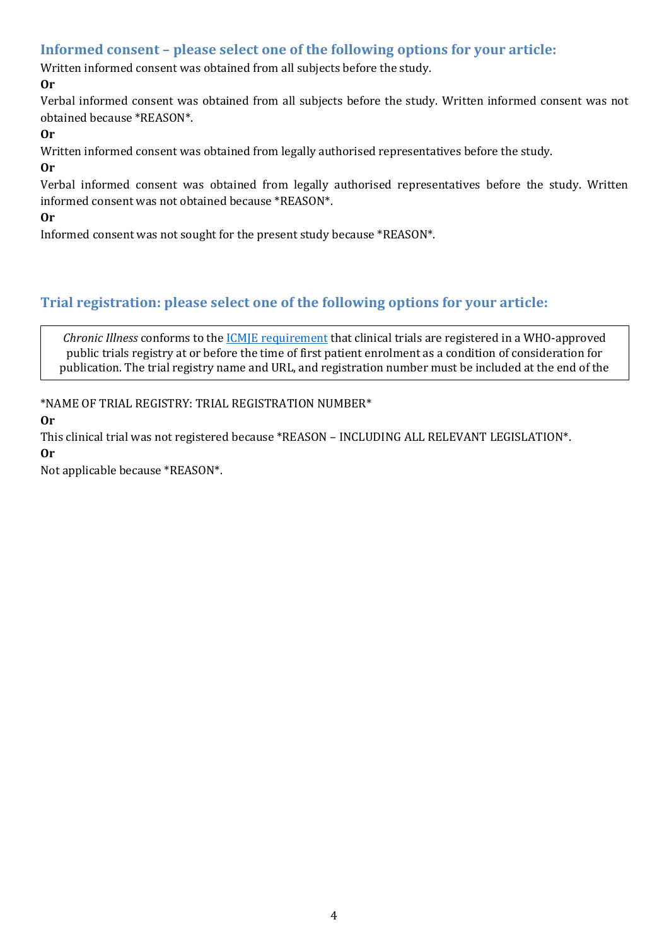#### <span id="page-3-0"></span>**Informed consent – please select one of the following options for your article:**

Written informed consent was obtained from all subjects before the study.

#### **Or**

Verbal informed consent was obtained from all subjects before the study. Written informed consent was not obtained because \*REASON\*.

#### **Or**

Written informed consent was obtained from legally authorised representatives before the study.

**Or**

Verbal informed consent was obtained from legally authorised representatives before the study. Written informed consent was not obtained because \*REASON\*.

**Or**

Informed consent was not sought for the present study because \*REASON\*.

## <span id="page-3-1"></span>**Trial registration: please select one of the following options for your article:**

*Chronic Illness* conforms to the [ICMJE requirement](http://www.icmje.org/recommendations/browse/publishing-and-editorial-issues/clinical-trial-registration.html) that clinical trials are registered in a WHO-approved public trials registry at or before the time of first patient enrolment as a condition of consideration for publication. The trial registry name and URL, and registration number must be included at the end of the

abstract.<br>Abstract.

\*NAME OF TRIAL REGISTRY: TRIAL REGISTRATION NUMBER\*

**Or**

This clinical trial was not registered because \*REASON – INCLUDING ALL RELEVANT LEGISLATION\*. **Or**

Not applicable because \*REASON\*.